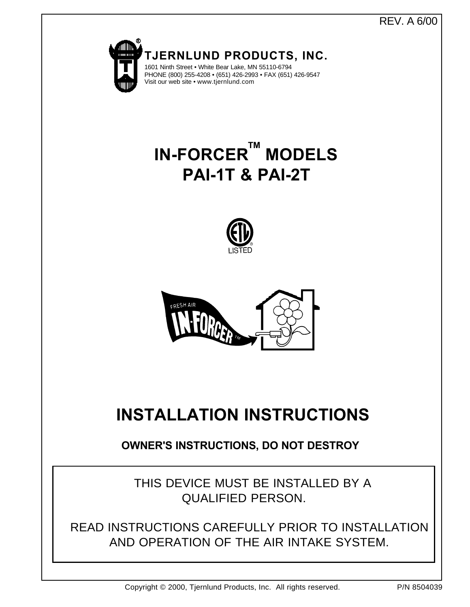REV. A 6/00



THIS DEVICE MUST BE INSTALLED BY A QUALIFIED PERSON.

READ INSTRUCTIONS CAREFULLY PRIOR TO INSTALLATION AND OPERATION OF THE AIR INTAKE SYSTEM.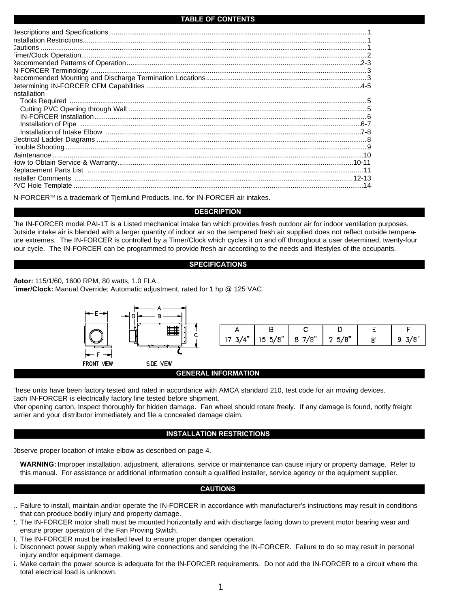### **TABLE OF CONTENTS**

| nstallation |  |
|-------------|--|
|             |  |
|             |  |
|             |  |
|             |  |
|             |  |
|             |  |
|             |  |
|             |  |
|             |  |
|             |  |
|             |  |
|             |  |
|             |  |

N-FORCER™ is a trademark of Tjernlund Products, Inc. for IN-FORCER air intakes.

### **DESCRIPTION**

The IN-FORCER model PAI-1T is a Listed mechanical intake fan which provides fresh outdoor air for indoor ventilation purposes. Outside intake air is blended with a larger quantity of indoor air so the tempered fresh air supplied does not reflect outside temperaure extremes. The IN-FORCER is controlled by a Timer/Clock which cycles it on and off throughout a user determined, twenty-four hour cycle. The IN-FORCER can be programmed to provide fresh air according to the needs and lifestyles of the occupants.

### **SPECIFICATIONS**

**Motor:** 115/1/60, 1600 RPM, 80 watts, 1.0 FLA **Timer/Clock:** Manual Override; Automatic adjustment, rated for 1 hp @ 125 VAC



| 17 3/4"   15 5/8"   8 7/8"   2 5/8" |  | 8" - 1 | $\frac{9}{3}$ /8 |
|-------------------------------------|--|--------|------------------|

### **GENERAL INFORMATION**

These units have been factory tested and rated in accordance with AMCA standard 210, test code for air moving devices. Each IN-FORCER is electrically factory line tested before shipment.

After opening carton, Inspect thoroughly for hidden damage. Fan wheel should rotate freely. If any damage is found, notify freight carrier and your distributor immediately and file a concealed damage claim.

### **INSTALLATION RESTRICTIONS**

Observe proper location of intake elbow as described on page 4.

**WARNING:** Improper installation, adjustment, alterations, service or maintenance can cause injury or property damage. Refer to this manual. For assistance or additional information consult a qualified installer, service agency or the equipment supplier.

### **CAUTIONS**

- 1. Failure to install, maintain and/or operate the IN-FORCER in accordance with manufacturer's instructions may result in conditions that can produce bodily injury and property damage.
- 2. The IN-FORCER motor shaft must be mounted horizontally and with discharge facing down to prevent motor bearing wear and ensure proper operation of the Fan Proving Switch.
- 3. The IN-FORCER must be installed level to ensure proper damper operation.
- 4. Disconnect power supply when making wire connections and servicing the IN-FORCER. Failure to do so may result in personal injury and/or equipment damage.
- 5. Make certain the power source is adequate for the IN-FORCER requirements. Do not add the IN-FORCER to a circuit where the total electrical load is unknown.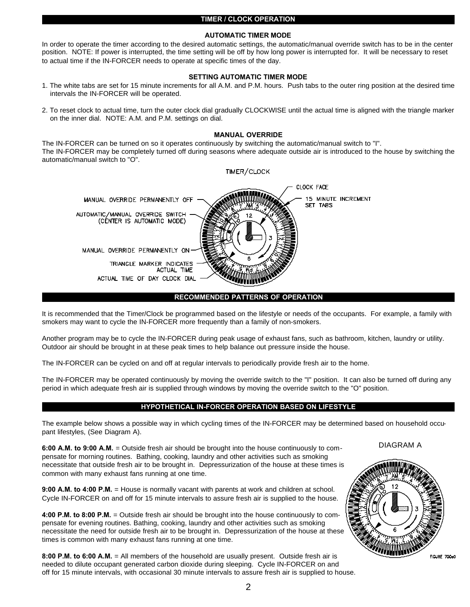### **TIMER / CLOCK OPERATION**

### **AUTOMATIC TIMER MODE**

In order to operate the timer according to the desired automatic settings, the automatic/manual override switch has to be in the center position. NOTE: If power is interrupted, the time setting will be off by how long power is interrupted for. It will be necessary to reset to actual time if the IN-FORCER needs to operate at specific times of the day.

### **SETTING AUTOMATIC TIMER MODE**

- 1. The white tabs are set for 15 minute increments for all A.M. and P.M. hours. Push tabs to the outer ring position at the desired time intervals the IN-FORCER will be operated.
- 2. To reset clock to actual time, turn the outer clock dial gradually CLOCKWISE until the actual time is aligned with the triangle marker on the inner dial. NOTE: A.M. and P.M. settings on dial.

### **MANUAL OVERRIDE**

The IN-FORCER can be turned on so it operates continuously by switching the automatic/manual switch to "I". The IN-FORCER may be completely turned off during seasons where adequate outside air is introduced to the house by switching the automatic/manual switch to "O".



# **RECOMMENDED PATTERNS OF OPERATION**

It is recommended that the Timer/Clock be programmed based on the lifestyle or needs of the occupants. For example, a family with smokers may want to cycle the IN-FORCER more frequently than a family of non-smokers.

Another program may be to cycle the IN-FORCER during peak usage of exhaust fans, such as bathroom, kitchen, laundry or utility. Outdoor air should be brought in at these peak times to help balance out pressure inside the house.

The IN-FORCER can be cycled on and off at regular intervals to periodically provide fresh air to the home.

The IN-FORCER may be operated continuously by moving the override switch to the "I" position. It can also be turned off during any period in which adequate fresh air is supplied through windows by moving the override switch to the "O" position.

### **HYPOTHETICAL IN-FORCER OPERATION BASED ON LIFESTYLE**

The example below shows a possible way in which cycling times of the IN-FORCER may be determined based on household occupant lifestyles, (See Diagram A).

**6:00 A.M. to 9:00 A.M.** = Outside fresh air should be brought into the house continuously to compensate for morning routines. Bathing, cooking, laundry and other activities such as smoking necessitate that outside fresh air to be brought in. Depressurization of the house at these times is common with many exhaust fans running at one time.

**9:00 A.M. to 4:00 P.M.** = House is normally vacant with parents at work and children at school. Cycle IN-FORCER on and off for 15 minute intervals to assure fresh air is supplied to the house.

**4:00 P.M. to 8:00 P.M.** = Outside fresh air should be brought into the house continuously to compensate for evening routines. Bathing, cooking, laundry and other activities such as smoking necessitate the need for outside fresh air to be brought in. Depressurization of the house at these times is common with many exhaust fans running at one time.

**8:00 P.M. to 6:00 A.M.** = All members of the household are usually present. Outside fresh air is needed to dilute occupant generated carbon dioxide during sleeping. Cycle IN-FORCER on and off for 15 minute intervals, with occasional 30 minute intervals to assure fresh air is supplied to house. DIAGRAM A



FIGURE 700eK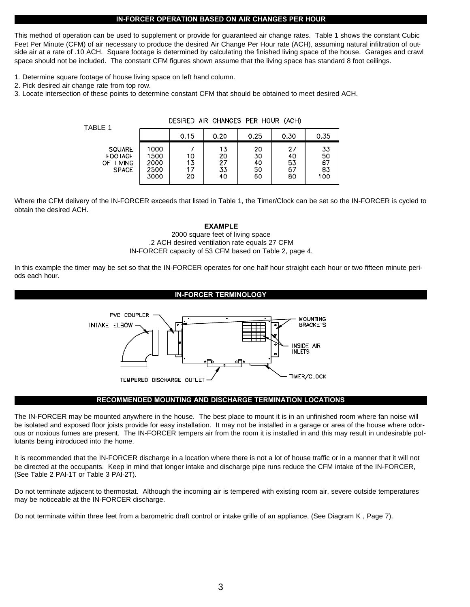### **IN-FORCER OPERATION BASED ON AIR CHANGES PER HOUR**

This method of operation can be used to supplement or provide for guaranteed air change rates. Table 1 shows the constant Cubic Feet Per Minute (CFM) of air necessary to produce the desired Air Change Per Hour rate (ACH), assuming natural infiltration of outside air at a rate of .10 ACH. Square footage is determined by calculating the finished living space of the house. Garages and crawl space should not be included. The constant CFM figures shown assume that the living space has standard 8 foot ceilings.

- 1. Determine square footage of house living space on left hand column.
- 2. Pick desired air change rate from top row.
- 3. Locate intersection of these points to determine constant CFM that should be obtained to meet desired ACH.

| TABLE 1                                                                | DESIRED AIR CHANGES PER HUUR (ACH)   |                |                                   |                            |                            |                             |
|------------------------------------------------------------------------|--------------------------------------|----------------|-----------------------------------|----------------------------|----------------------------|-----------------------------|
|                                                                        |                                      | 0.15           | 0.20                              | 0.25                       | 0.30                       | 0.35                        |
| <b>SQUARE</b><br><b>FOOTAGE</b><br><b>LIVING</b><br>ΩF<br><b>SPACE</b> | 1000<br>1500<br>2000<br>2500<br>3000 | 10<br>13<br>20 | 13<br>20<br>$\frac{27}{33}$<br>40 | 20<br>30<br>40<br>50<br>60 | 27<br>40<br>53<br>67<br>80 | 33<br>50<br>67<br>83<br>100 |

DESIRED AIR CHANGES PER HOUR (ACH)

Where the CFM delivery of the IN-FORCER exceeds that listed in Table 1, the Timer/Clock can be set so the IN-FORCER is cycled to obtain the desired ACH.

### **EXAMPLE**

## 2000 square feet of living space .2 ACH desired ventilation rate equals 27 CFM IN-FORCER capacity of 53 CFM based on Table 2, page 4.

In this example the timer may be set so that the IN-FORCER operates for one half hour straight each hour or two fifteen minute periods each hour.

### **IN-FORCER TERMINOLOGY**



### **RECOMMENDED MOUNTING AND DISCHARGE TERMINATION LOCATIONS**

The IN-FORCER may be mounted anywhere in the house. The best place to mount it is in an unfinished room where fan noise will be isolated and exposed floor joists provide for easy installation. It may not be installed in a garage or area of the house where odorous or noxious fumes are present. The IN-FORCER tempers air from the room it is installed in and this may result in undesirable pollutants being introduced into the home.

It is recommended that the IN-FORCER discharge in a location where there is not a lot of house traffic or in a manner that it will not be directed at the occupants. Keep in mind that longer intake and discharge pipe runs reduce the CFM intake of the IN-FORCER, (See Table 2 PAI-1T or Table 3 PAI-2T).

Do not terminate adjacent to thermostat. Although the incoming air is tempered with existing room air, severe outside temperatures may be noticeable at the IN-FORCER discharge.

Do not terminate within three feet from a barometric draft control or intake grille of an appliance, (See Diagram K , Page 7).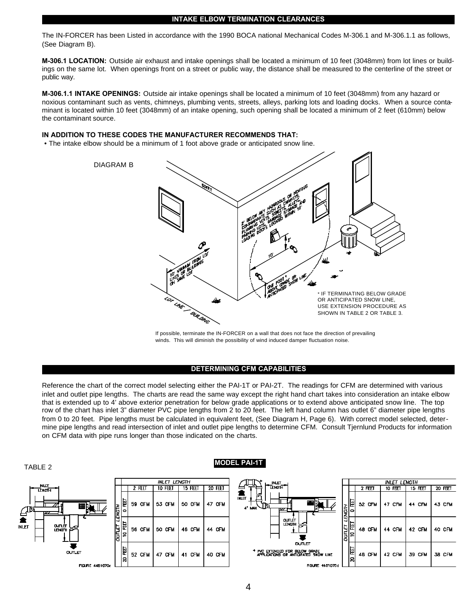### **INTAKE ELBOW TERMINATION CLEARANCES**

The IN-FORCER has been Listed in accordance with the 1990 BOCA national Mechanical Codes M-306.1 and M-306.1.1 as follows, (See Diagram B).

**M-306.1 LOCATION:** Outside air exhaust and intake openings shall be located a minimum of 10 feet (3048mm) from lot lines or buildings on the same lot. When openings front on a street or public way, the distance shall be measured to the centerline of the street or public way.

**M-306.1.1 INTAKE OPENINGS:** Outside air intake openings shall be located a minimum of 10 feet (3048mm) from any hazard or noxious contaminant such as vents, chimneys, plumbing vents, streets, alleys, parking lots and loading docks. When a source contaminant is located within 10 feet (3048mm) of an intake opening, such opening shall be located a minimum of 2 feet (610mm) below the contaminant source.

### **IN ADDITION TO THESE CODES THE MANUFACTURER RECOMMENDS THAT:**

• The intake elbow should be a minimum of 1 foot above grade or anticipated snow line.



If possible, terminate the IN-FORCER on a wall that does not face the direction of prevailing winds. This will diminish the possibility of wind induced damper fluctuation noise.

### **DETERMINING CFM CAPABILITIES**

Reference the chart of the correct model selecting either the PAI-1T or PAI-2T. The readings for CFM are determined with various inlet and outlet pipe lengths. The charts are read the same way except the right hand chart takes into consideration an intake elbow that is extended up to 4' above exterior penetration for below grade applications or to extend above anticipated snow line. The top row of the chart has inlet 3" diameter PVC pipe lengths from 2 to 20 feet. The left hand column has outlet 6" diameter pipe lengths from 0 to 20 feet. Pipe lengths must be calculated in equivalent feet, (See Diagram H, Page 6). With correct model selected, determine pipe lengths and read intersection of inlet and outlet pipe lengths to determine CFM. Consult Tjernlund Products for information on CFM data with pipe runs longer than those indicated on the charts.



# 4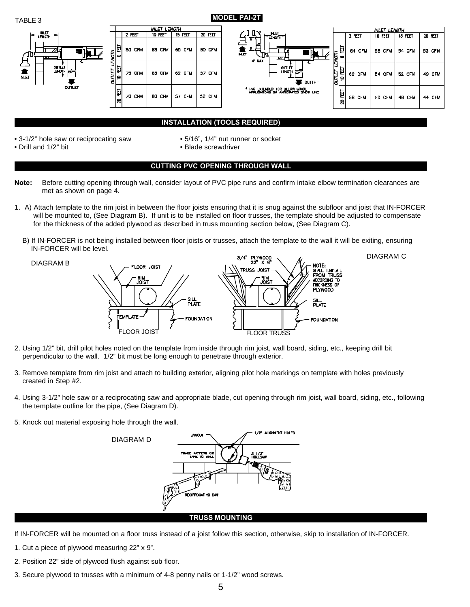

TABLE 3 **MODEL PAI-2T** 



# **INSTALLATION (TOOLS REQUIRED)**

- 3-1/2" hole saw or reciprocating saw 5/16", 1/4" nut runner or socket
	-
- Drill and 1/2" bit example  **Blade screwdriver** Blade screwdriver
- 

# **CUTTING PVC OPENING THROUGH WALL**

- **Note:** Before cutting opening through wall, consider layout of PVC pipe runs and confirm intake elbow termination clearances are met as shown on page 4.
- 1. A) Attach template to the rim joist in between the floor joists ensuring that it is snug against the subfloor and joist that IN-FORCER will be mounted to, (See Diagram B). If unit is to be installed on floor trusses, the template should be adjusted to compensate for the thickness of the added plywood as described in truss mounting section below, (See Diagram C).
	- B) If IN-FORCER is not being installed between floor joists or trusses, attach the template to the wall it will be exiting, ensuring IN-FORCER will be level. DIAGRAM C

DIAGRAM B



- 2. Using 1/2" bit, drill pilot holes noted on the template from inside through rim joist, wall board, siding, etc., keeping drill bit perpendicular to the wall. 1/2" bit must be long enough to penetrate through exterior.
- 3. Remove template from rim joist and attach to building exterior, aligning pilot hole markings on template with holes previously created in Step #2.
- 4. Using 3-1/2" hole saw or a reciprocating saw and appropriate blade, cut opening through rim joist, wall board, siding, etc., following the template outline for the pipe, (See Diagram D).
- 5. Knock out material exposing hole through the wall.



- If IN-FORCER will be mounted on a floor truss instead of a joist follow this section, otherwise, skip to installation of IN-FORCER.
- 1. Cut a piece of plywood measuring 22" x 9".
- 2. Position 22" side of plywood flush against sub floor.
- 3. Secure plywood to trusses with a minimum of 4-8 penny nails or 1-1/2" wood screws.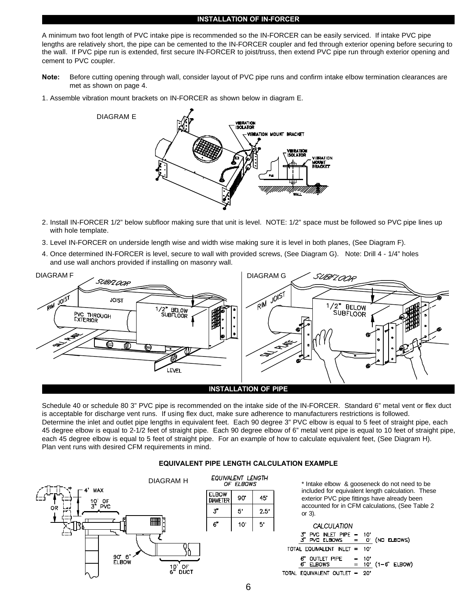### **INSTALLATION OF IN-FORCER**

A minimum two foot length of PVC intake pipe is recommended so the IN-FORCER can be easily serviced. If intake PVC pipe lengths are relatively short, the pipe can be cemented to the IN-FORCER coupler and fed through exterior opening before securing to the wall. If PVC pipe run is extended, first secure IN-FORCER to joist/truss, then extend PVC pipe run through exterior opening and cement to PVC coupler.

- **Note:** Before cutting opening through wall, consider layout of PVC pipe runs and confirm intake elbow termination clearances are met as shown on page 4.
- 1. Assemble vibration mount brackets on IN-FORCER as shown below in diagram E.



- 2. Install IN-FORCER 1/2" below subfloor making sure that unit is level. NOTE: 1/2" space must be followed so PVC pipe lines up with hole template.
- 3. Level IN-FORCER on underside length wise and width wise making sure it is level in both planes, (See Diagram F).
- 4. Once determined IN-FORCER is level, secure to wall with provided screws, (See Diagram G). Note: Drill 4 1/4" holes and use wall anchors provided if installing on masonry wall.



Schedule 40 or schedule 80 3" PVC pipe is recommended on the intake side of the IN-FORCER. Standard 6" metal vent or flex duct is acceptable for discharge vent runs. If using flex duct, make sure adherence to manufacturers restrictions is followed. Determine the inlet and outlet pipe lengths in equivalent feet. Each 90 degree 3" PVC elbow is equal to 5 feet of straight pipe, each 45 degree elbow is equal to 2-1/2 feet of straight pipe. Each 90 degree elbow of 6" metal vent pipe is equal to 10 feet of straight pipe, each 45 degree elbow is equal to 5 feet of straight pipe. For an example of how to calculate equivalent feet, (See Diagram H). Plan vent runs with desired CFM requirements in mind.

## **EQUIVALENT PIPE LENGTH CALCULATION EXAMPLE**



\* Intake elbow & gooseneck do not need to be included for equivalent length calculation. These exterior PVC pipe fittings have already been accounted for in CFM calculations, (See Table 2 or 3).

CALCULATION PVC INLET PIPE  $10'$ 3''<br>3' PVC ELBOWS iō.  $(ND$  ELBOWS $)$ TOTAL EQUIVALENT INLET  $10<sup>1</sup>$ **OUTLET PIPE** 6" 10  $(1 - 6^\circ$  ELBOW)  $\mathbf{G}^*$ **ELBOWS**  $=$  $10<sup>2</sup>$ TOTAL EQUIVALENT OUTLET = - 20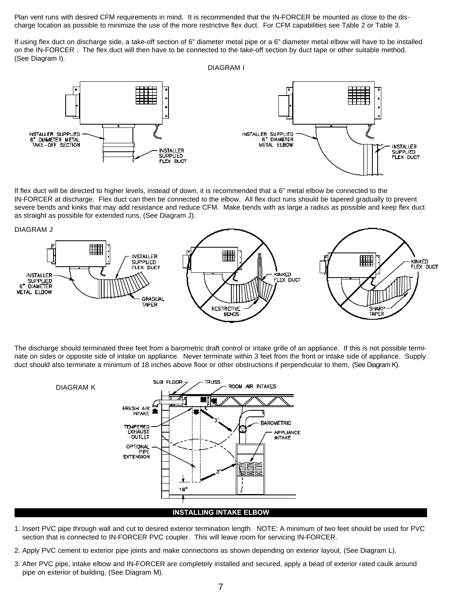Plan vent runs with desired CFM requirements in mind. It is recommended that the IN-FORCER be mounted as close to the discharge location as possible to minimize the use of the more restrictive flex duct. For CFM capabilities see Table 2 or Table 3.

If using flex duct on discharge side, a take-off section of 6" diameter metal pipe or a 6" diameter metal elbow will have to be installed on the IN-FORCER . The flex duct will then have to be connected to the take-off section by duct tape or other suitable method, (See Diagram I).

DIAGRAM I



If flex duct will be directed to higher levels, instead of down, it is recommended that a 6" metal elbow be connected to the IN-FORCER at discharge. Flex duct can then be connected to the elbow. All flex duct runs should be tapered gradually to prevent severe bends and kinks that may add resistance and reduce CFM. Make bends with as large a radius as possible and keep flex duct as straight as possible for extended runs, (See Diagram J).



The discharge should terminated three feet from a barometric draft control or intake grille of an appliance. If this is not possible terminate on sides or opposite side of intake on appliance. Never terminate within 3 feet from the front or intake side of appliance. Supply duct should also terminate a minimum of 18 inches above floor or other obstructions if perpendicular to them, (See Diagram K).



### **INSTALLING INTAKE ELBOW**

- 1. Insert PVC pipe through wall and cut to desired exterior termination length. NOTE: A minimum of two feet should be used for PVC section that is connected to IN-FORCER PVC coupler. This will leave room for servicing IN-FORCER.
- 2. Apply PVC cement to exterior pipe joints and make connections as shown depending on exterior layout, (See Diagram L).
- 3. After PVC pipe, intake elbow and IN-FORCER are completely installed and secured, apply a bead of exterior rated caulk around pipe on exterior of building, (See Diagram M).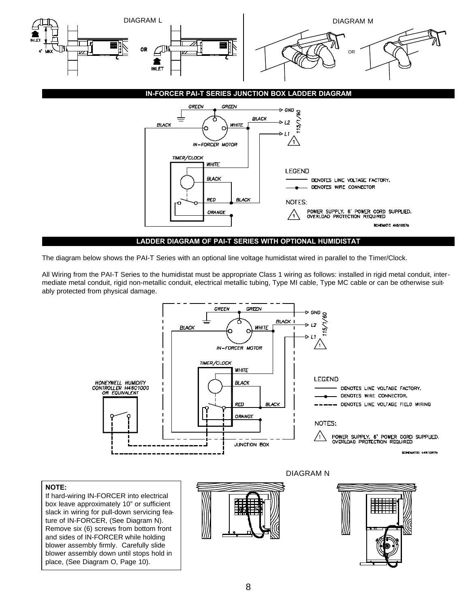

The diagram below shows the PAI-T Series with an optional line voltage humidistat wired in parallel to the Timer/Clock.

All Wiring from the PAI-T Series to the humidistat must be appropriate Class 1 wiring as follows: installed in rigid metal conduit, intermediate metal conduit, rigid non-metallic conduit, electrical metallic tubing, Type MI cable, Type MC cable or can be otherwise suitably protected from physical damage.



# **NOTE:**

If hard-wiring IN-FORCER into electrical box leave approximately 10" or sufficient slack in wiring for pull-down servicing feature of IN-FORCER, (See Diagram N). Remove six (6) screws from bottom front and sides of IN-FORCER while holding blower assembly firmly. Carefully slide blower assembly down until stops hold in place, (See Diagram O, Page 10).



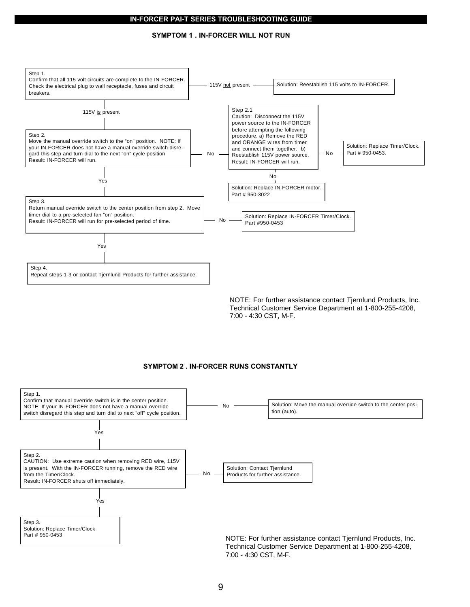### **IN-FORCER PAI-T SERIES TROUBLESHOOTING GUIDE**

### **SYMPTOM 1 . IN-FORCER WILL NOT RUN**



NOTE: For further assistance contact Tjernlund Products, Inc. Technical Customer Service Department at 1-800-255-4208, 7:00 - 4:30 CST, M-F.

### **SYMPTOM 2 . IN-FORCER RUNS CONSTANTLY**

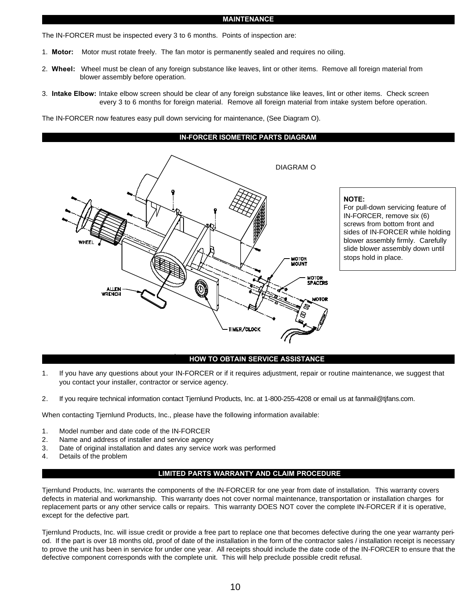### **MAINTENANCE**

The IN-FORCER must be inspected every 3 to 6 months. Points of inspection are:

- 1. **Motor:** Motor must rotate freely. The fan motor is permanently sealed and requires no oiling.
- 2. **Wheel:** Wheel must be clean of any foreign substance like leaves, lint or other items. Remove all foreign material from blower assembly before operation.
- 3. **Intake Elbow:** Intake elbow screen should be clear of any foreign substance like leaves, lint or other items. Check screen every 3 to 6 months for foreign material. Remove all foreign material from intake system before operation.

The IN-FORCER now features easy pull down servicing for maintenance, (See Diagram O).



# **NOTE:**

For pull-down servicing feature of IN-FORCER, remove six (6) screws from bottom front and sides of IN-FORCER while holding blower assembly firmly. Carefully slide blower assembly down until stops hold in place.

### how **HOW TO OBTAIN SERVICE ASSISTANCE**

- 1. If you have any questions about your IN-FORCER or if it requires adjustment, repair or routine maintenance, we suggest that you contact your installer, contractor or service agency.
- 2. If you require technical information contact Tjernlund Products, Inc. at 1-800-255-4208 or email us at fanmail@tjfans.com.

When contacting Tjernlund Products, Inc., please have the following information available:

- 1. Model number and date code of the IN-FORCER
- 2. Name and address of installer and service agency
- 3. Date of original installation and dates any service work was performed
- 4. Details of the problem

### **LIMITED PARTS WARRANTY AND CLAIM PROCEDURE**

Tjernlund Products, Inc. warrants the components of the IN-FORCER for one year from date of installation. This warranty covers defects in material and workmanship. This warranty does not cover normal maintenance, transportation or installation charges for replacement parts or any other service calls or repairs. This warranty DOES NOT cover the complete IN-FORCER if it is operative, except for the defective part.

Tjernlund Products, Inc. will issue credit or provide a free part to replace one that becomes defective during the one year warranty period. If the part is over 18 months old, proof of date of the installation in the form of the contractor sales / installation receipt is necessary to prove the unit has been in service for under one year. All receipts should include the date code of the IN-FORCER to ensure that the defective component corresponds with the complete unit. This will help preclude possible credit refusal.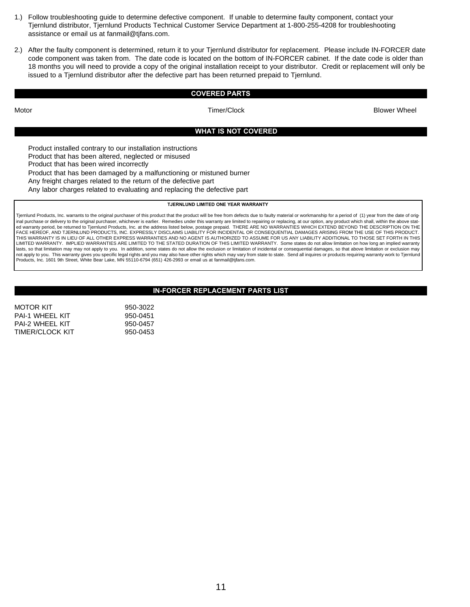- 1.) Follow troubleshooting guide to determine defective component. If unable to determine faulty component, contact your Tjernlund distributor, Tjernlund Products Technical Customer Service Department at 1-800-255-4208 for troubleshooting assistance or email us at fanmail@tjfans.com.
- 2.) After the faulty component is determined, return it to your Tjernlund distributor for replacement. Please include IN-FORCER date code component was taken from. The date code is located on the bottom of IN-FORCER cabinet. If the date code is older than 18 months you will need to provide a copy of the original installation receipt to your distributor. Credit or replacement will only be issued to a Tjernlund distributor after the defective part has been returned prepaid to Tjernlund.

### **COVERED PARTS**

Motor Timer/Clock Blower Wheel

### **WHAT IS NOT COVERED**

Product installed contrary to our installation instructions Product that has been altered, neglected or misused Product that has been wired incorrectly Product that has been damaged by a malfunctioning or mistuned burner Any freight charges related to the return of the defective part Any labor charges related to evaluating and replacing the defective part

**TJERNLUND LIMITED ONE YEAR WARRANTY**

Tjernlund Products, Inc. warrants to the original purchaser of this product that the product will be free from defects due to faulty material or workmanship for a period of (1) year from the date of original purchase or delivery to the original purchaser, whichever is earlier. Remedies under this warranty are limited to repairing or replacing, at our option, any product which shall, within the above stat ed warranty period, be returned to Tjernlund Products, Inc. at the address listed below, postage prepaid. THERE ARE NO WARRANTIES WHICH EXTEND BEYOND THE DESCRIPTION ON THE FACE HEREOF, AND TJERNLUND PRODUCTS, INC. EXPRESSLY DISCLAIMS LIABILITY FOR INCIDENTAL OR CONSEQUENTIAL DAMAGES ARISING FROM THE USE OF THIS PRODUCT. THIS WARRANTY IS IN LIEU OF ALL OTHER EXPRESS WARRANTIES AND NO AGENT IS AUTHORIZED TO ASSUME FOR US ANY LIABILITY ADDITIONAL TO THOSE SET FORTH IN THIS LIMITED WARRANTY. IMPLIED WARRANTIES ARE LIMITED TO THE STATED DURATION OF THIS LIMITED WARRANTY. Some states do not allow limitation on how long an implied warranty lasts, so that limitation may may not apply to you. In addition, some states do not allow the exclusion or limitation of incidental or consequential damages, so that above limitation or exclusion may not apply to you. This warranty gives you specific legal rights and you may also have other rights which may vary from state to state. Send all inquires or products requiring warranty work to Tjernlund<br>Products, Inc. 1601

### **IN-FORCER REPLACEMENT PARTS LIST**

MOTOR KIT 950-3022 PAI-1 WHEEL KIT 950-0451 PAI-2 WHEEL KIT 950-0457 TIMER/CLOCK KIT
950-0453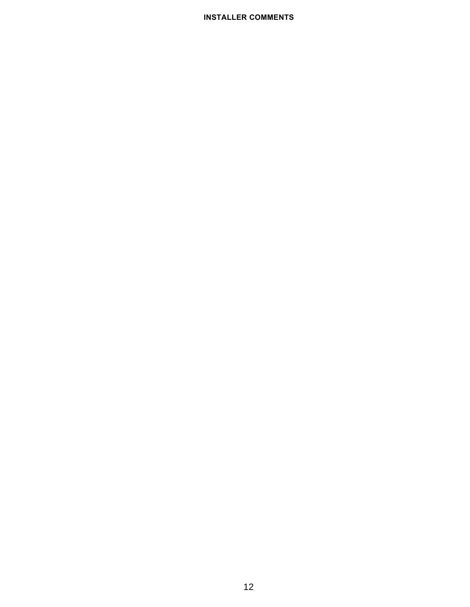# **INSTALLER COMMENTS**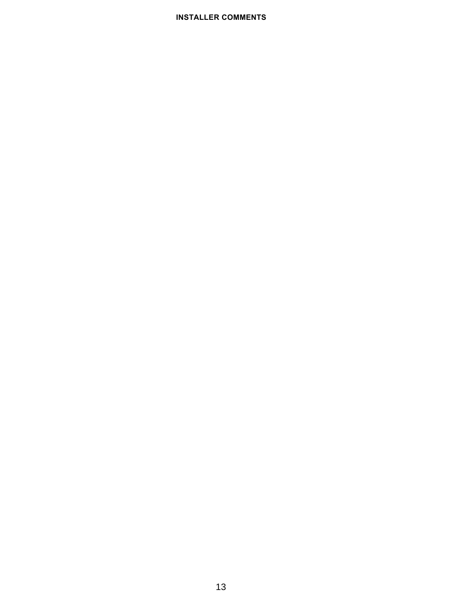# **INSTALLER COMMENTS**